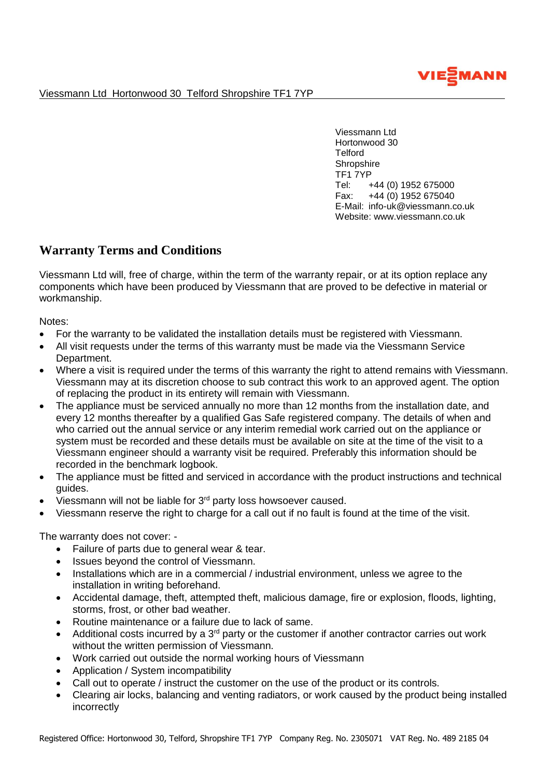

Viessmann Ltd Hortonwood 30 Telford Shropshire TF1 7YP

Viessmann Ltd Hortonwood 30 **Telford Shropshire** TF1 7YP Tel: +44 (0) 1952 675000 Fax: +44 (0) 1952 675040 E-Mail: info-uk@viessmann.co.uk Website: www.viessmann.co.uk

## **Warranty Terms and Conditions**

Viessmann Ltd will, free of charge, within the term of the warranty repair, or at its option replace any components which have been produced by Viessmann that are proved to be defective in material or workmanship.

Notes:

- For the warranty to be validated the installation details must be registered with Viessmann.
- All visit requests under the terms of this warranty must be made via the Viessmann Service Department.
- Where a visit is required under the terms of this warranty the right to attend remains with Viessmann. Viessmann may at its discretion choose to sub contract this work to an approved agent. The option of replacing the product in its entirety will remain with Viessmann.
- The appliance must be serviced annually no more than 12 months from the installation date, and every 12 months thereafter by a qualified Gas Safe registered company. The details of when and who carried out the annual service or any interim remedial work carried out on the appliance or system must be recorded and these details must be available on site at the time of the visit to a Viessmann engineer should a warranty visit be required. Preferably this information should be recorded in the benchmark logbook.
- The appliance must be fitted and serviced in accordance with the product instructions and technical guides.
- $\bullet$  Viessmann will not be liable for 3<sup>rd</sup> party loss howsoever caused.
- Viessmann reserve the right to charge for a call out if no fault is found at the time of the visit.

The warranty does not cover: -

- Failure of parts due to general wear & tear.
- Issues beyond the control of Viessmann.
- Installations which are in a commercial / industrial environment, unless we agree to the installation in writing beforehand.
- Accidental damage, theft, attempted theft, malicious damage, fire or explosion, floods, lighting, storms, frost, or other bad weather.
- Routine maintenance or a failure due to lack of same.
- Additional costs incurred by a 3<sup>rd</sup> party or the customer if another contractor carries out work without the written permission of Viessmann.
- Work carried out outside the normal working hours of Viessmann
- Application / System incompatibility
- Call out to operate / instruct the customer on the use of the product or its controls.
- Clearing air locks, balancing and venting radiators, or work caused by the product being installed incorrectly